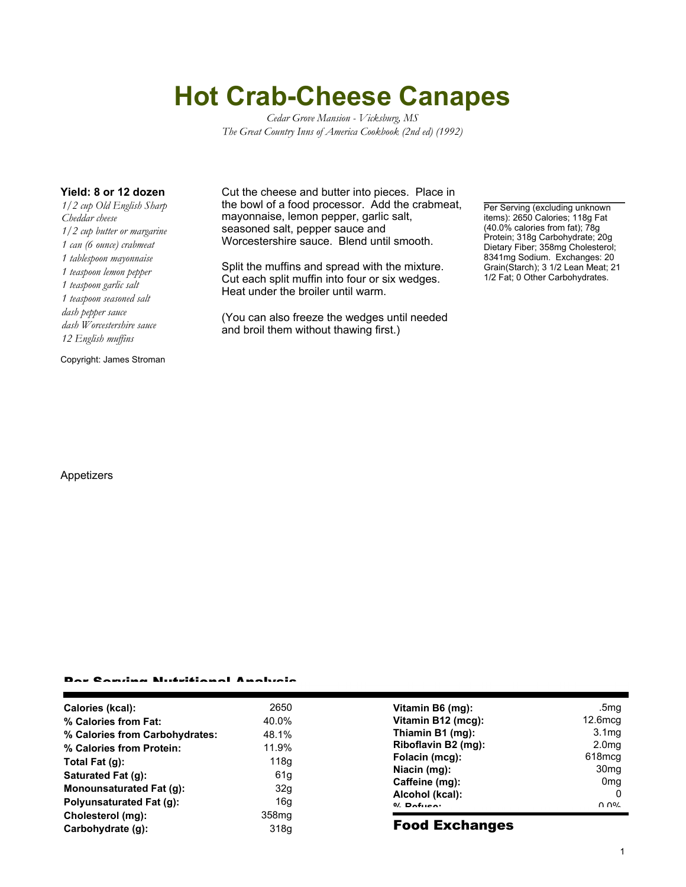# **Hot Crab-Cheese Canapes**

*Cedar Grove Mansion - Vicksburg, MS The Great Country Inns of America Cookbook (2nd ed) (1992)*

*1/2 cup Old English Sharp Cheddar cheese 1/2 cup butter or margarine 1 can (6 ounce) crabmeat 1 tablespoon mayonnaise 1 teaspoon lemon pepper 1 teaspoon garlic salt 1 teaspoon seasoned salt dash pepper sauce dash Worcestershire sauce 12 English muffins*

Copyright: James Stroman

Appetizers

**Yield: 8 or 12 dozen** Cut the cheese and butter into pieces. Place in the bowl of a food processor. Add the crabmeat, mayonnaise, lemon pepper, garlic salt, seasoned salt, pepper sauce and Worcestershire sauce. Blend until smooth.

> Split the muffins and spread with the mixture. Cut each split muffin into four or six wedges. Heat under the broiler until warm.

(You can also freeze the wedges until needed and broil them without thawing first.)

Per Serving (excluding unknown items): 2650 Calories; 118g Fat (40.0% calories from fat); 78g Protein; 318g Carbohydrate; 20g Dietary Fiber; 358mg Cholesterol; 8341mg Sodium. Exchanges: 20 Grain(Starch); 3 1/2 Lean Meat; 21 1/2 Fat; 0 Other Carbohydrates.

### Per Serving Nutritional Analysis

| Calories (kcal):               | 2650              | Vita           |
|--------------------------------|-------------------|----------------|
| % Calories from Fat:           | 40.0%             | Vita           |
| % Calories from Carbohydrates: | 48.1%             | Thi            |
| % Calories from Protein:       | 11.9%             | Rib            |
| Total Fat (q):                 | 118g              | Fol            |
| Saturated Fat (g):             | 61 <sub>g</sub>   | Nia            |
| Monounsaturated Fat (q):       | 32g               | Caf<br>Alc     |
| Polyunsaturated Fat (q):       | 16q               | $0/$ $\square$ |
| Cholesterol (mg):              | 358 <sub>mq</sub> |                |
| Carbohydrate (g):              | 318g              | Fo             |
|                                |                   |                |

| Vitamin B6 (mq):    | .5 <sub>mg</sub>  |
|---------------------|-------------------|
| Vitamin B12 (mcg):  | $12.6$ mcg        |
| Thiamin B1 (mg):    | 3.1 <sub>mg</sub> |
| Riboflavin B2 (mg): | 2.0 <sub>mg</sub> |
| Folacin (mcg):      | 618mcg            |
| Niacin (mg):        | 30 <sub>mq</sub>  |
| Caffeine (mg):      | 0 <sub>mg</sub>   |
| Alcohol (kcal):     |                   |
| $0/$ Dofuso:        | ስ ሰዐረ             |

#### od Exchanges